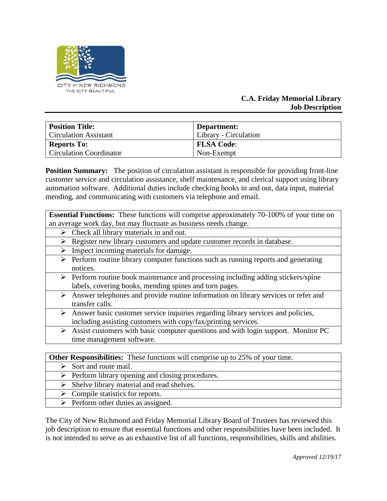

## **C.A. Friday Memorial Library Job Description**

| <b>Position Title:</b>         | Department:                  |
|--------------------------------|------------------------------|
| <b>Circulation Assistant</b>   | <b>Library</b> - Circulation |
| <b>Reports To:</b>             | <b>FLSA Code:</b>            |
| <b>Circulation Coordinator</b> | Non-Exempt                   |

**Position Summary:** The position of circulation assistant is responsible for providing front-line customer service and circulation assistance, shelf maintenance, and clerical support using library automation software. Additional duties include checking books in and out, data input, material mending, and communicating with customers via telephone and email.

| <b>Essential Functions:</b> These functions will comprise approximately 70-100% of your time on    |
|----------------------------------------------------------------------------------------------------|
| an average work day, but may fluctuate as business needs change.                                   |
| Check all library materials in and out.<br>➤                                                       |
| Register new library customers and update customer records in database.<br>➤                       |
| Inspect incoming materials for damage.<br>➤                                                        |
| Perform routine library computer functions such as running reports and generating<br>➤             |
| notices.                                                                                           |
| $\triangleright$ Perform routine book maintenance and processing including adding stickers/spine   |
| labels, covering books, mending spines and torn pages.                                             |
| Answer telephones and provide routine information on library services or refer and<br>➤            |
| transfer calls.                                                                                    |
| > Answer basic customer service inquiries regarding library services and policies,                 |
| including assisting customers with copy/fax/printing services.                                     |
| $\triangleright$ Assist customers with basic computer questions and with login support. Monitor PC |
| time management software.                                                                          |
|                                                                                                    |
| <b>Other Responsibilities:</b> These functions will comprise up to 25% of your time.               |

- $\triangleright$  Sort and route mail.
- $\triangleright$  Perform library opening and closing procedures.
- $\triangleright$  Shelve library material and read shelves.
- $\triangleright$  Compile statistics for reports.
	- $\triangleright$  Perform other duties as assigned.

The City of New Richmond and Friday Memorial Library Board of Trustees has reviewed this job description to ensure that essential functions and other responsibilities have been included. It is not intended to serve as an exhaustive list of all functions, responsibilities, skills and abilities.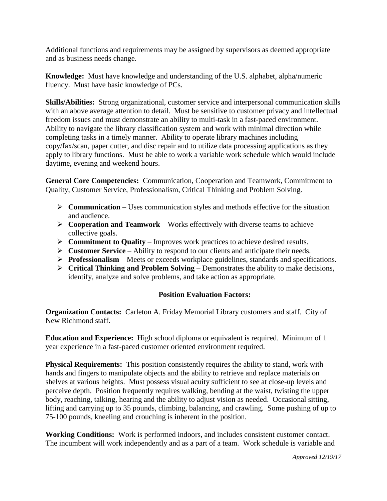Additional functions and requirements may be assigned by supervisors as deemed appropriate and as business needs change.

**Knowledge:** Must have knowledge and understanding of the U.S. alphabet, alpha/numeric fluency. Must have basic knowledge of PCs.

**Skills/Abilities:** Strong organizational, customer service and interpersonal communication skills with an above average attention to detail. Must be sensitive to customer privacy and intellectual freedom issues and must demonstrate an ability to multi-task in a fast-paced environment. Ability to navigate the library classification system and work with minimal direction while completing tasks in a timely manner. Ability to operate library machines including copy/fax/scan, paper cutter, and disc repair and to utilize data processing applications as they apply to library functions. Must be able to work a variable work schedule which would include daytime, evening and weekend hours.

**General Core Competencies:** Communication, Cooperation and Teamwork, Commitment to Quality, Customer Service, Professionalism, Critical Thinking and Problem Solving.

- **Communication** Uses communication styles and methods effective for the situation and audience.
- $\triangleright$  **Cooperation and Teamwork** Works effectively with diverse teams to achieve collective goals.
- **►** Commitment to Quality Improves work practices to achieve desired results.
- **Customer Service**  Ability to respond to our clients and anticipate their needs.
- **Professionalism**  Meets or exceeds workplace guidelines, standards and specifications.
- **Critical Thinking and Problem Solving**  Demonstrates the ability to make decisions, identify, analyze and solve problems, and take action as appropriate.

## **Position Evaluation Factors:**

**Organization Contacts:** Carleton A. Friday Memorial Library customers and staff. City of New Richmond staff.

**Education and Experience:** High school diploma or equivalent is required. Minimum of 1 year experience in a fast-paced customer oriented environment required.

**Physical Requirements:** This position consistently requires the ability to stand, work with hands and fingers to manipulate objects and the ability to retrieve and replace materials on shelves at various heights. Must possess visual acuity sufficient to see at close-up levels and perceive depth. Position frequently requires walking, bending at the waist, twisting the upper body, reaching, talking, hearing and the ability to adjust vision as needed. Occasional sitting, lifting and carrying up to 35 pounds, climbing, balancing, and crawling. Some pushing of up to 75-100 pounds, kneeling and crouching is inherent in the position.

**Working Conditions:** Work is performed indoors, and includes consistent customer contact. The incumbent will work independently and as a part of a team. Work schedule is variable and